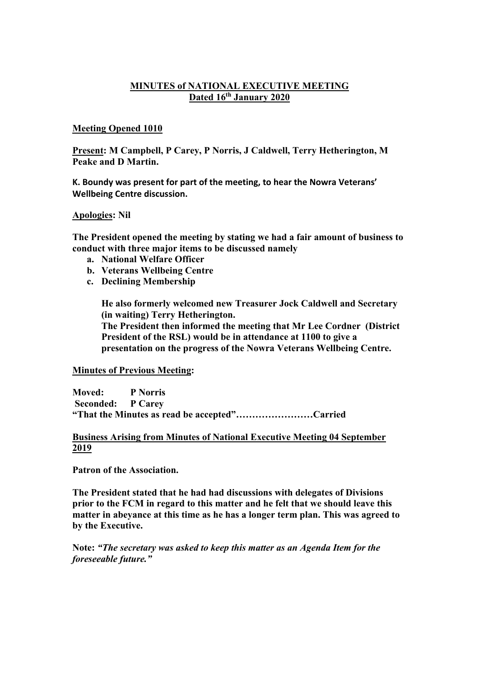## **MINUTES of NATIONAL EXECUTIVE MEETING Dated 16th January 2020**

## **Meeting Opened 1010**

**Present: M Campbell, P Carey, P Norris, J Caldwell, Terry Hetherington, M Peake and D Martin.**

**K. Boundy was present for part of the meeting, to hear the Nowra Veterans' Wellbeing Centre discussion.** 

#### **Apologies: Nil**

**The President opened the meeting by stating we had a fair amount of business to conduct with three major items to be discussed namely**

- **a. National Welfare Officer**
- **b. Veterans Wellbeing Centre**
- **c. Declining Membership**

**He also formerly welcomed new Treasurer Jock Caldwell and Secretary (in waiting) Terry Hetherington.**

**The President then informed the meeting that Mr Lee Cordner (District President of the RSL) would be in attendance at 1100 to give a presentation on the progress of the Nowra Veterans Wellbeing Centre.**

#### **Minutes of Previous Meeting:**

**Moved: P Norris Seconded: P Carey "That the Minutes as read be accepted"……………………Carried**

#### **Business Arising from Minutes of National Executive Meeting 04 September 2019**

**Patron of the Association.**

**The President stated that he had had discussions with delegates of Divisions prior to the FCM in regard to this matter and he felt that we should leave this matter in abeyance at this time as he has a longer term plan. This was agreed to by the Executive.**

**Note:** *"The secretary was asked to keep this matter as an Agenda Item for the foreseeable future."*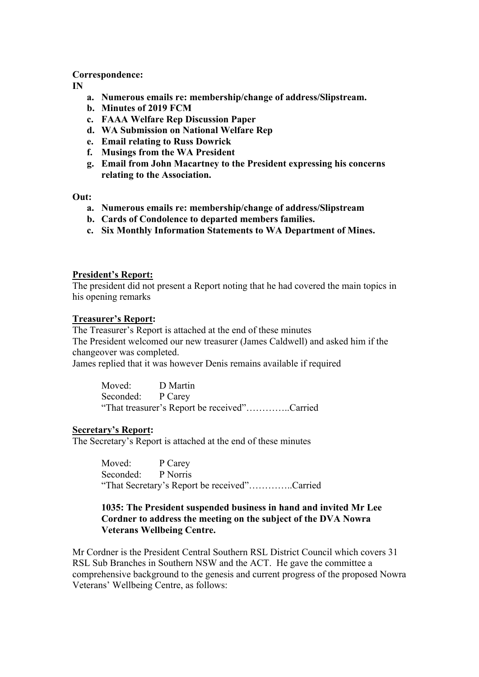## **Correspondence:**

**IN**

- **a. Numerous emails re: membership/change of address/Slipstream.**
- **b. Minutes of 2019 FCM**
- **c. FAAA Welfare Rep Discussion Paper**
- **d. WA Submission on National Welfare Rep**
- **e. Email relating to Russ Dowrick**
- **f. Musings from the WA President**
- **g. Email from John Macartney to the President expressing his concerns relating to the Association.**

**Out:**

- **a. Numerous emails re: membership/change of address/Slipstream**
- **b. Cards of Condolence to departed members families.**
- **c. Six Monthly Information Statements to WA Department of Mines.**

## **President's Report:**

The president did not present a Report noting that he had covered the main topics in his opening remarks

#### **Treasurer's Report:**

The Treasurer's Report is attached at the end of these minutes The President welcomed our new treasurer (James Caldwell) and asked him if the changeover was completed.

James replied that it was however Denis remains available if required

Moved: D Martin Seconded: P Carey "That treasurer's Report be received"…………..Carried

## **Secretary's Report:**

The Secretary's Report is attached at the end of these minutes

Moved: P Carey Seconded: P Norris "That Secretary's Report be received"…………..Carried

## **1035: The President suspended business in hand and invited Mr Lee Cordner to address the meeting on the subject of the DVA Nowra Veterans Wellbeing Centre.**

Mr Cordner is the President Central Southern RSL District Council which covers 31 RSL Sub Branches in Southern NSW and the ACT. He gave the committee a comprehensive background to the genesis and current progress of the proposed Nowra Veterans' Wellbeing Centre, as follows: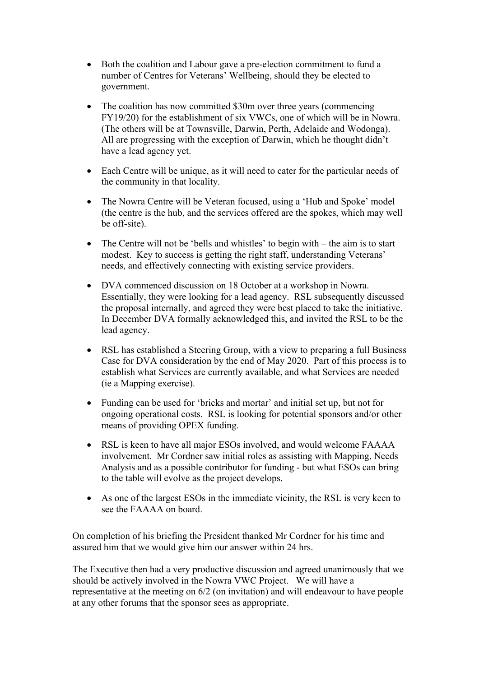- Both the coalition and Labour gave a pre-election commitment to fund a number of Centres for Veterans' Wellbeing, should they be elected to government.
- The coalition has now committed \$30m over three years (commencing FY19/20) for the establishment of six VWCs, one of which will be in Nowra. (The others will be at Townsville, Darwin, Perth, Adelaide and Wodonga). All are progressing with the exception of Darwin, which he thought didn't have a lead agency yet.
- Each Centre will be unique, as it will need to cater for the particular needs of the community in that locality.
- The Nowra Centre will be Veteran focused, using a 'Hub and Spoke' model (the centre is the hub, and the services offered are the spokes, which may well be off-site).
- The Centre will not be 'bells and whistles' to begin with the aim is to start modest. Key to success is getting the right staff, understanding Veterans' needs, and effectively connecting with existing service providers.
- DVA commenced discussion on 18 October at a workshop in Nowra. Essentially, they were looking for a lead agency. RSL subsequently discussed the proposal internally, and agreed they were best placed to take the initiative. In December DVA formally acknowledged this, and invited the RSL to be the lead agency.
- RSL has established a Steering Group, with a view to preparing a full Business Case for DVA consideration by the end of May 2020. Part of this process is to establish what Services are currently available, and what Services are needed (ie a Mapping exercise).
- Funding can be used for 'bricks and mortar' and initial set up, but not for ongoing operational costs. RSL is looking for potential sponsors and/or other means of providing OPEX funding.
- RSL is keen to have all major ESOs involved, and would welcome FAAAA involvement. Mr Cordner saw initial roles as assisting with Mapping, Needs Analysis and as a possible contributor for funding - but what ESOs can bring to the table will evolve as the project develops.
- As one of the largest ESOs in the immediate vicinity, the RSL is very keen to see the FAAAA on board.

On completion of his briefing the President thanked Mr Cordner for his time and assured him that we would give him our answer within 24 hrs.

The Executive then had a very productive discussion and agreed unanimously that we should be actively involved in the Nowra VWC Project. We will have a representative at the meeting on 6/2 (on invitation) and will endeavour to have people at any other forums that the sponsor sees as appropriate.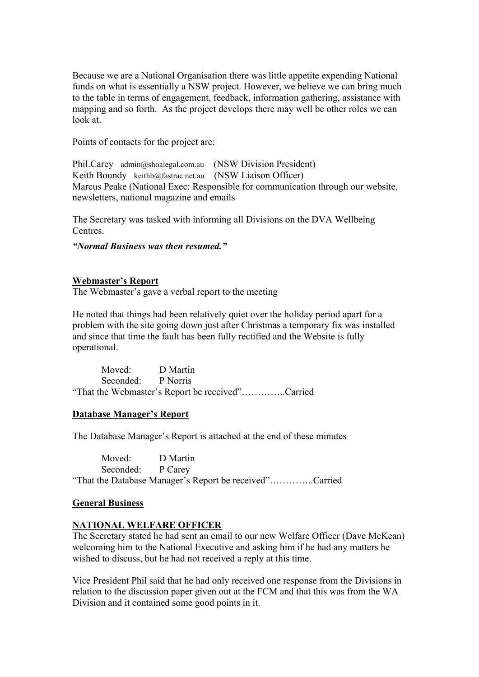Because we are a National Organisation there was little appetite expending National funds on what is essentially a NSW project. However, we believe we can bring much to the table in terms of engagement, feedback, information gathering, assistance with mapping and so forth. As the project develops there may well be other roles we can look at.

Points of contacts for the project are:

Phil.Carey admin@shoalegal.com.au (NSW Division President) Keith Boundy keithb@fastrac.net.au (NSW Liaison Officer) Marcus Peake (National Exec: Responsible for communication through our website, newsletters, national magazine and emails

The Secretary was tasked with informing all Divisions on the DVA Wellbeing Centres.

*"Normal Business was then resumed."*

# **Webmaster's Report**

The Webmaster's gave a verbal report to the meeting

He noted that things had been relatively quiet over the holiday period apart for a problem with the site going down just after Christmas a temporary fix was installed and since that time the fault has been fully rectified and the Website is fully operational.

Moved: D Martin Seconded: P Norris "That the Webmaster's Report be received"…………..Carried

## **Database Manager's Report**

The Database Manager's Report is attached at the end of these minutes

Moved: D Martin Seconded: P Carey "That the Database Manager's Report be received"…………..Carried

# **General Business**

# **NATIONAL WELFARE OFFICER**

The Secretary stated he had sent an email to our new Welfare Officer (Dave McKean) welcoming him to the National Executive and asking him if he had any matters he wished to discuss, but he had not received a reply at this time.

Vice President Phil said that he had only received one response from the Divisions in relation to the discussion paper given out at the FCM and that this was from the WA Division and it contained some good points in it.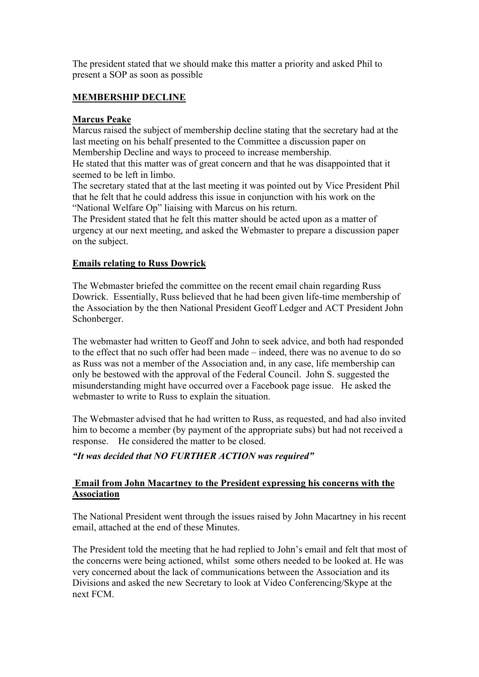The president stated that we should make this matter a priority and asked Phil to present a SOP as soon as possible

# **MEMBERSHIP DECLINE**

# **Marcus Peake**

Marcus raised the subject of membership decline stating that the secretary had at the last meeting on his behalf presented to the Committee a discussion paper on Membership Decline and ways to proceed to increase membership.

He stated that this matter was of great concern and that he was disappointed that it seemed to be left in limbo.

The secretary stated that at the last meeting it was pointed out by Vice President Phil that he felt that he could address this issue in conjunction with his work on the "National Welfare Op" liaising with Marcus on his return.

The President stated that he felt this matter should be acted upon as a matter of urgency at our next meeting, and asked the Webmaster to prepare a discussion paper on the subject.

# **Emails relating to Russ Dowrick**

The Webmaster briefed the committee on the recent email chain regarding Russ Dowrick. Essentially, Russ believed that he had been given life-time membership of the Association by the then National President Geoff Ledger and ACT President John Schonberger.

The webmaster had written to Geoff and John to seek advice, and both had responded to the effect that no such offer had been made – indeed, there was no avenue to do so as Russ was not a member of the Association and, in any case, life membership can only be bestowed with the approval of the Federal Council. John S. suggested the misunderstanding might have occurred over a Facebook page issue. He asked the webmaster to write to Russ to explain the situation.

The Webmaster advised that he had written to Russ, as requested, and had also invited him to become a member (by payment of the appropriate subs) but had not received a response. He considered the matter to be closed.

*"It was decided that NO FURTHER ACTION was required"*

# **Email from John Macartney to the President expressing his concerns with the Association**

The National President went through the issues raised by John Macartney in his recent email, attached at the end of these Minutes.

The President told the meeting that he had replied to John's email and felt that most of the concerns were being actioned, whilst some others needed to be looked at. He was very concerned about the lack of communications between the Association and its Divisions and asked the new Secretary to look at Video Conferencing/Skype at the next FCM.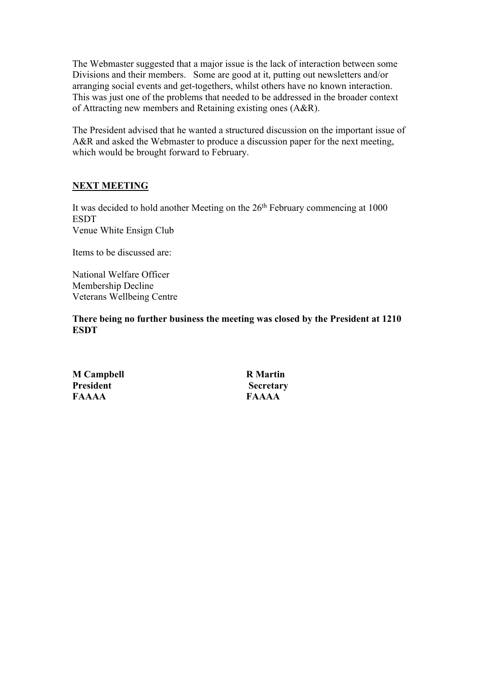The Webmaster suggested that a major issue is the lack of interaction between some Divisions and their members. Some are good at it, putting out newsletters and/or arranging social events and get-togethers, whilst others have no known interaction. This was just one of the problems that needed to be addressed in the broader context of Attracting new members and Retaining existing ones (A&R).

The President advised that he wanted a structured discussion on the important issue of A&R and asked the Webmaster to produce a discussion paper for the next meeting, which would be brought forward to February.

# **NEXT MEETING**

It was decided to hold another Meeting on the  $26<sup>th</sup>$  February commencing at 1000 **ESDT** Venue White Ensign Club

Items to be discussed are:

National Welfare Officer Membership Decline Veterans Wellbeing Centre

**There being no further business the meeting was closed by the President at 1210 ESDT**

**M Campbell R Martin President Secretary FAAAA FAAAA**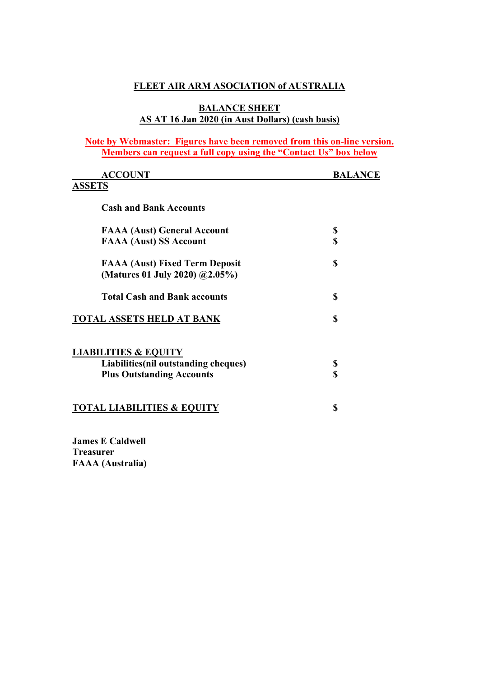# **FLEET AIR ARM ASOCIATION of AUSTRALIA**

## **BALANCE SHEET AS AT 16 Jan 2020 (in Aust Dollars) (cash basis)**

# **Note by Webmaster: Figures have been removed from this on-line version. Members can request a full copy using the "Contact Us" box below**

| <b>ACCOUNT</b>                                                          | BALANCE |
|-------------------------------------------------------------------------|---------|
| <b>ASSETS</b>                                                           |         |
| <b>Cash and Bank Accounts</b>                                           |         |
| <b>FAAA (Aust) General Account</b>                                      | \$      |
| <b>FAAA (Aust) SS Account</b>                                           | \$      |
| <b>FAAA (Aust) Fixed Term Deposit</b><br>(Matures 01 July 2020) @2.05%) | \$      |
| <b>Total Cash and Bank accounts</b>                                     | \$      |
| <b>TOTAL ASSETS HELD AT BANK</b>                                        | S       |
| <b>LIABILITIES &amp; EQUITY</b>                                         |         |
| Liabilities (nil outstanding cheques)                                   | \$      |
| <b>Plus Outstanding Accounts</b>                                        | S       |
| <b>TOTAL LIABILITIES &amp; EQUITY</b>                                   | \$      |
|                                                                         |         |

**James E Caldwell Treasurer FAAA (Australia)**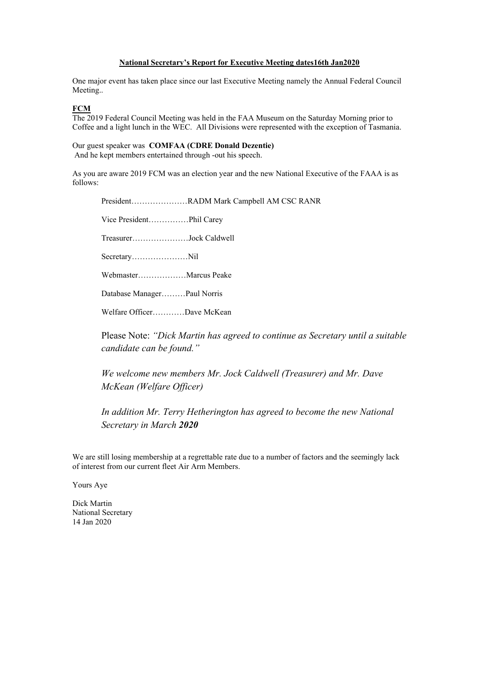#### **National Secretary's Report for Executive Meeting dates16th Jan2020**

One major event has taken place since our last Executive Meeting namely the Annual Federal Council Meeting..

#### **FCM**

The 2019 Federal Council Meeting was held in the FAA Museum on the Saturday Morning prior to Coffee and a light lunch in the WEC. All Divisions were represented with the exception of Tasmania.

Our guest speaker was **COMFAA (CDRE Donald Dezentie)** And he kept members entertained through -out his speech.

As you are aware 2019 FCM was an election year and the new National Executive of the FAAA is as follows:

President…………………RADM Mark Campbell AM CSC RANR Vice President……………Phil Carey Treasurer…………………Jock Caldwell Secretary…………………Nil Webmaster………………Marcus Peake Database Manager………Paul Norris Welfare Officer…………Dave McKean Please Note: *"Dick Martin has agreed to continue as Secretary until a suitable candidate can be found." We welcome new members Mr. Jock Caldwell (Treasurer) and Mr. Dave McKean (Welfare Officer) In addition Mr. Terry Hetherington has agreed to become the new National* 

*Secretary in March 2020*

We are still losing membership at a regrettable rate due to a number of factors and the seemingly lack of interest from our current fleet Air Arm Members.

Yours Aye

Dick Martin National Secretary 14 Jan 2020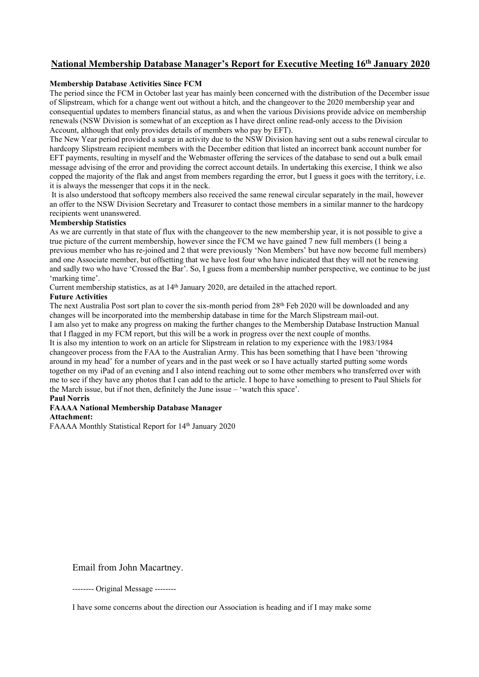# **National Membership Database Manager's Report for Executive Meeting 16th January 2020**

#### **Membership Database Activities Since FCM**

The period since the FCM in October last year has mainly been concerned with the distribution of the December issue of Slipstream, which for a change went out without a hitch, and the changeover to the 2020 membership year and consequential updates to members financial status, as and when the various Divisions provide advice on membership renewals (NSW Division is somewhat of an exception as I have direct online read-only access to the Division Account, although that only provides details of members who pay by EFT).

The New Year period provided a surge in activity due to the NSW Division having sent out a subs renewal circular to hardcopy Slipstream recipient members with the December edition that listed an incorrect bank account number for EFT payments, resulting in myself and the Webmaster offering the services of the database to send out a bulk email message advising of the error and providing the correct account details. In undertaking this exercise, I think we also copped the majority of the flak and angst from members regarding the error, but I guess it goes with the territory, i.e. it is always the messenger that cops it in the neck.

It is also understood that softcopy members also received the same renewal circular separately in the mail, however an offer to the NSW Division Secretary and Treasurer to contact those members in a similar manner to the hardcopy recipients went unanswered.

#### **Membership Statistics**

As we are currently in that state of flux with the changeover to the new membership year, it is not possible to give a true picture of the current membership, however since the FCM we have gained 7 new full members (1 being a previous member who has re-joined and 2 that were previously 'Non Members' but have now become full members) and one Associate member, but offsetting that we have lost four who have indicated that they will not be renewing and sadly two who have 'Crossed the Bar'. So, I guess from a membership number perspective, we continue to be just 'marking time'.

Current membership statistics, as at 14th January 2020, are detailed in the attached report.

#### **Future Activities**

The next Australia Post sort plan to cover the six-month period from 28<sup>th</sup> Feb 2020 will be downloaded and any changes will be incorporated into the membership database in time for the March Slipstream mail-out. I am also yet to make any progress on making the further changes to the Membership Database Instruction Manual that I flagged in my FCM report, but this will be a work in progress over the next couple of months. It is also my intention to work on an article for Slipstream in relation to my experience with the 1983/1984 changeover process from the FAA to the Australian Army. This has been something that I have been 'throwing around in my head' for a number of years and in the past week or so I have actually started putting some words together on my iPad of an evening and I also intend reaching out to some other members who transferred over with

me to see if they have any photos that I can add to the article. I hope to have something to present to Paul Shiels for the March issue, but if not then, definitely the June issue – 'watch this space'. **Paul Norris**

#### **FAAAA National Membership Database Manager Attachment:**

FAAAA Monthly Statistical Report for 14<sup>th</sup> January 2020

Email from John Macartney.

-------- Original Message --------

I have some concerns about the direction our Association is heading and if I may make some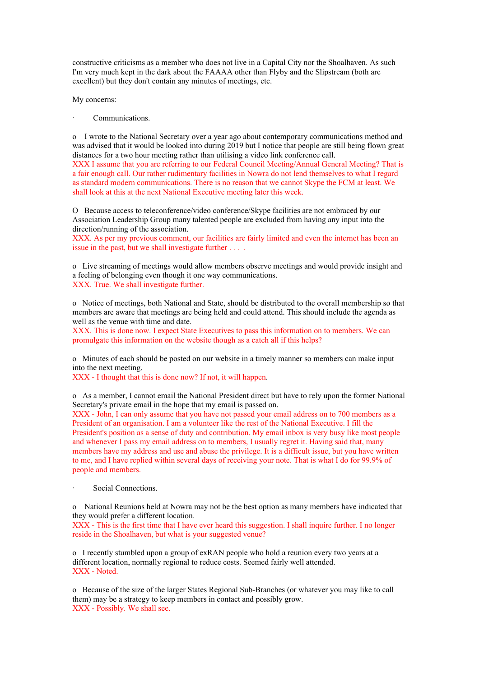constructive criticisms as a member who does not live in a Capital City nor the Shoalhaven. As such I'm very much kept in the dark about the FAAAA other than Flyby and the Slipstream (both are excellent) but they don't contain any minutes of meetings, etc.

My concerns:

Communications.

o I wrote to the National Secretary over a year ago about contemporary communications method and was advised that it would be looked into during 2019 but I notice that people are still being flown great distances for a two hour meeting rather than utilising a video link conference call.

XXX I assume that you are referring to our Federal Council Meeting/Annual General Meeting? That is a fair enough call. Our rather rudimentary facilities in Nowra do not lend themselves to what I regard as standard modern communications. There is no reason that we cannot Skype the FCM at least. We shall look at this at the next National Executive meeting later this week.

O Because access to teleconference/video conference/Skype facilities are not embraced by our Association Leadership Group many talented people are excluded from having any input into the direction/running of the association.

XXX. As per my previous comment, our facilities are fairly limited and even the internet has been an issue in the past, but we shall investigate further . . . .

o Live streaming of meetings would allow members observe meetings and would provide insight and a feeling of belonging even though it one way communications. XXX. True. We shall investigate further.

o Notice of meetings, both National and State, should be distributed to the overall membership so that members are aware that meetings are being held and could attend. This should include the agenda as well as the venue with time and date.

XXX. This is done now. I expect State Executives to pass this information on to members. We can promulgate this information on the website though as a catch all if this helps?

o Minutes of each should be posted on our website in a timely manner so members can make input into the next meeting.

XXX - I thought that this is done now? If not, it will happen.

o As a member, I cannot email the National President direct but have to rely upon the former National Secretary's private email in the hope that my email is passed on.

XXX - John, I can only assume that you have not passed your email address on to 700 members as a President of an organisation. I am a volunteer like the rest of the National Executive. I fill the President's position as a sense of duty and contribution. My email inbox is very busy like most people and whenever I pass my email address on to members, I usually regret it. Having said that, many members have my address and use and abuse the privilege. It is a difficult issue, but you have written to me, and I have replied within several days of receiving your note. That is what I do for 99.9% of people and members.

Social Connections.

o National Reunions held at Nowra may not be the best option as many members have indicated that they would prefer a different location.

XXX - This is the first time that I have ever heard this suggestion. I shall inquire further. I no longer reside in the Shoalhaven, but what is your suggested venue?

o I recently stumbled upon a group of exRAN people who hold a reunion every two years at a different location, normally regional to reduce costs. Seemed fairly well attended. XXX - Noted.

o Because of the size of the larger States Regional Sub-Branches (or whatever you may like to call them) may be a strategy to keep members in contact and possibly grow. XXX - Possibly. We shall see.